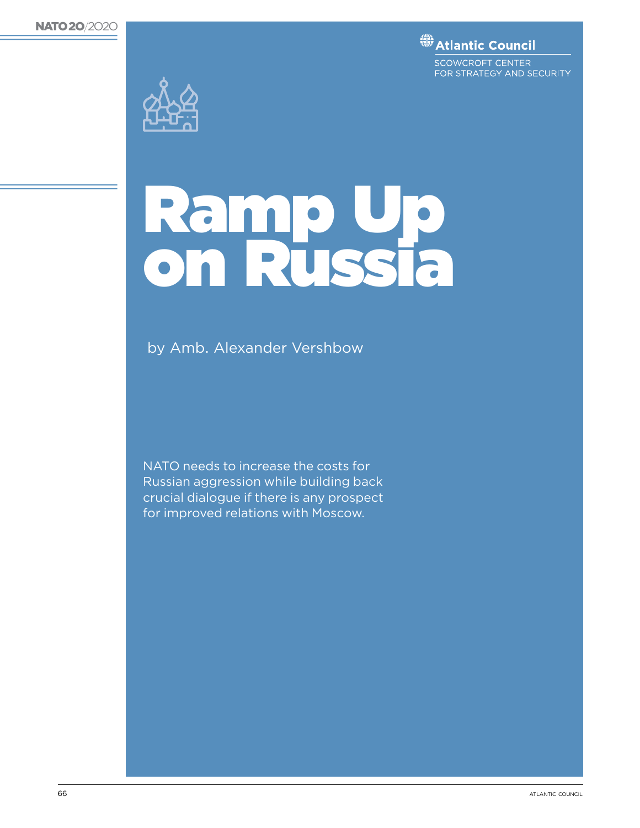**(# Atlantic Council** 

SCOWCROFT CENTER FOR STRATEGY AND SECURITY



# Ramp Up on Russia

by Amb. Alexander Vershbow

NATO needs to increase the costs for Russian aggression while building back crucial dialogue if there is any prospect for improved relations with Moscow.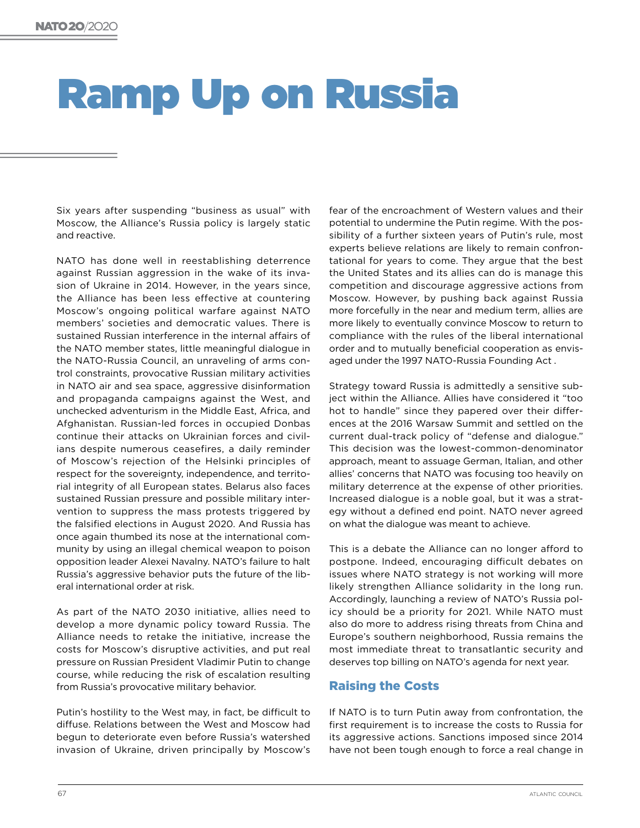# Ramp Up on Russia

Six years after suspending "business as usual" with Moscow, the Alliance's Russia policy is largely static and reactive.

NATO has done well in reestablishing deterrence against Russian aggression in the wake of its invasion of Ukraine in 2014. However, in the years since, the Alliance has been less effective at countering Moscow's ongoing political warfare against NATO members' societies and democratic values. There is sustained Russian interference in the internal affairs of the NATO member states, little meaningful dialogue in the NATO-Russia Council, an unraveling of arms control constraints, provocative Russian military activities in NATO air and sea space, aggressive disinformation and propaganda campaigns against the West, and unchecked adventurism in the Middle East, Africa, and Afghanistan. Russian-led forces in occupied Donbas continue their attacks on Ukrainian forces and civilians despite numerous ceasefires, a daily reminder of Moscow's rejection of the Helsinki principles of respect for the sovereignty, independence, and territorial integrity of all European states. Belarus also faces sustained Russian pressure and possible military intervention to suppress the mass protests triggered by the falsified elections in August 2020. And Russia has once again thumbed its nose at the international community by using an illegal chemical weapon to poison opposition leader Alexei Navalny. NATO's failure to halt Russia's aggressive behavior puts the future of the liberal international order at risk.

As part of the NATO 2030 initiative, allies need to develop a more dynamic policy toward Russia. The Alliance needs to retake the initiative, increase the costs for Moscow's disruptive activities, and put real pressure on Russian President Vladimir Putin to change course, while reducing the risk of escalation resulting from Russia's provocative military behavior.

Putin's hostility to the West may, in fact, be difficult to diffuse. Relations between the West and Moscow had begun to deteriorate even before Russia's watershed invasion of Ukraine, driven principally by Moscow's

fear of the encroachment of Western values and their potential to undermine the Putin regime. With the possibility of a further sixteen years of Putin's rule, most experts believe relations are likely to remain confrontational for years to come. They argue that the best the United States and its allies can do is manage this competition and discourage aggressive actions from Moscow. However, by pushing back against Russia more forcefully in the near and medium term, allies are more likely to eventually convince Moscow to return to compliance with the rules of the liberal international order and to mutually beneficial cooperation as envisaged under the 1997 NATO-Russia Founding Act .

Strategy toward Russia is admittedly a sensitive subject within the Alliance. Allies have considered it "too hot to handle" since they papered over their differences at the 2016 Warsaw Summit and settled on the current dual-track policy of "defense and dialogue." This decision was the lowest-common-denominator approach, meant to assuage German, Italian, and other allies' concerns that NATO was focusing too heavily on military deterrence at the expense of other priorities. Increased dialogue is a noble goal, but it was a strategy without a defined end point. NATO never agreed on what the dialogue was meant to achieve.

This is a debate the Alliance can no longer afford to postpone. Indeed, encouraging difficult debates on issues where NATO strategy is not working will more likely strengthen Alliance solidarity in the long run. Accordingly, launching a review of NATO's Russia policy should be a priority for 2021. While NATO must also do more to address rising threats from China and Europe's southern neighborhood, Russia remains the most immediate threat to transatlantic security and deserves top billing on NATO's agenda for next year.

### Raising the Costs

If NATO is to turn Putin away from confrontation, the first requirement is to increase the costs to Russia for its aggressive actions. Sanctions imposed since 2014 have not been tough enough to force a real change in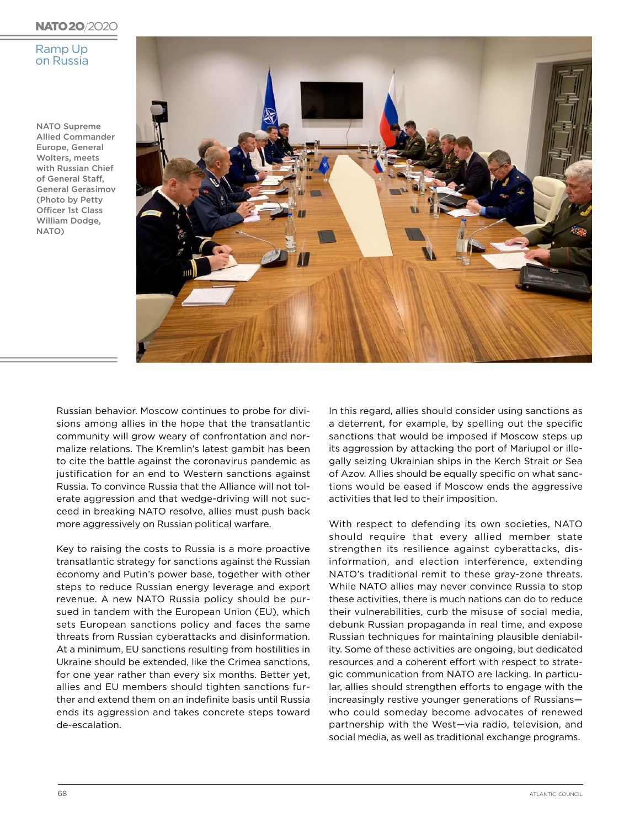#### **NATO 20/2020**

#### Ramp Up on Russia

NATO Supreme Allied Commander Europe, General Wolters, meets with Russian Chief of General Staff, General Gerasimov (Photo by Petty Officer 1st Class William Dodge, NATO)



Russian behavior. Moscow continues to probe for divisions among allies in the hope that the transatlantic community will grow weary of confrontation and normalize relations. The Kremlin's latest gambit has been to cite the battle against the coronavirus pandemic as justification for an end to Western sanctions against Russia. To convince Russia that the Alliance will not tolerate aggression and that wedge-driving will not succeed in breaking NATO resolve, allies must push back more aggressively on Russian political warfare.

Key to raising the costs to Russia is a more proactive transatlantic strategy for sanctions against the Russian economy and Putin's power base, together with other steps to reduce Russian energy leverage and export revenue. A new NATO Russia policy should be pursued in tandem with the European Union (EU), which sets European sanctions policy and faces the same threats from Russian cyberattacks and disinformation. At a minimum, EU sanctions resulting from hostilities in Ukraine should be extended, like the Crimea sanctions, for one year rather than every six months. Better yet, allies and EU members should tighten sanctions further and extend them on an indefinite basis until Russia ends its aggression and takes concrete steps toward de-escalation.

In this regard, allies should consider using sanctions as a deterrent, for example, by spelling out the specific sanctions that would be imposed if Moscow steps up its aggression by attacking the port of Mariupol or illegally seizing Ukrainian ships in the Kerch Strait or Sea of Azov. Allies should be equally specific on what sanctions would be eased if Moscow ends the aggressive activities that led to their imposition.

With respect to defending its own societies, NATO should require that every allied member state strengthen its resilience against cyberattacks, disinformation, and election interference, extending NATO's traditional remit to these gray-zone threats. While NATO allies may never convince Russia to stop these activities, there is much nations can do to reduce their vulnerabilities, curb the misuse of social media, debunk Russian propaganda in real time, and expose Russian techniques for maintaining plausible deniability. Some of these activities are ongoing, but dedicated resources and a coherent effort with respect to strategic communication from NATO are lacking. In particular, allies should strengthen efforts to engage with the increasingly restive younger generations of Russians who could someday become advocates of renewed partnership with the West—via radio, television, and social media, as well as traditional exchange programs.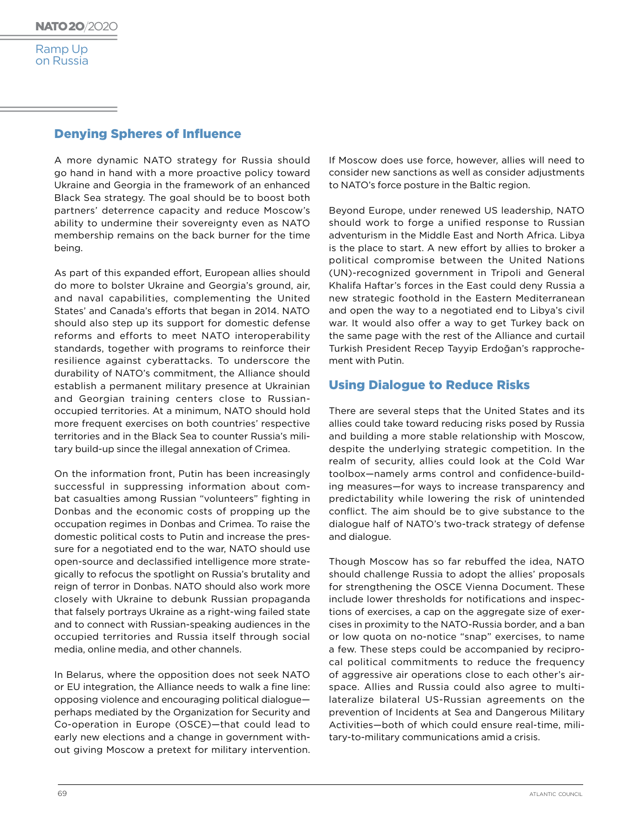## Denying Spheres of Influence

A more dynamic NATO strategy for Russia should go hand in hand with a more proactive policy toward Ukraine and Georgia in the framework of an enhanced Black Sea strategy. The goal should be to boost both partners' deterrence capacity and reduce Moscow's ability to undermine their sovereignty even as NATO membership remains on the back burner for the time being.

As part of this expanded effort, European allies should do more to bolster Ukraine and Georgia's ground, air, and naval capabilities, complementing the United States' and Canada's efforts that began in 2014. NATO should also step up its support for domestic defense reforms and efforts to meet NATO interoperability standards, together with programs to reinforce their resilience against cyberattacks. To underscore the durability of NATO's commitment, the Alliance should establish a permanent military presence at Ukrainian and Georgian training centers close to Russianoccupied territories. At a minimum, NATO should hold more frequent exercises on both countries' respective territories and in the Black Sea to counter Russia's military build-up since the illegal annexation of Crimea.

On the information front, Putin has been increasingly successful in suppressing information about combat casualties among Russian "volunteers" fighting in Donbas and the economic costs of propping up the occupation regimes in Donbas and Crimea. To raise the domestic political costs to Putin and increase the pressure for a negotiated end to the war, NATO should use open-source and declassified intelligence more strategically to refocus the spotlight on Russia's brutality and reign of terror in Donbas. NATO should also work more closely with Ukraine to debunk Russian propaganda that falsely portrays Ukraine as a right-wing failed state and to connect with Russian-speaking audiences in the occupied territories and Russia itself through social media, online media, and other channels.

In Belarus, where the opposition does not seek NATO or EU integration, the Alliance needs to walk a fine line: opposing violence and encouraging political dialogue perhaps mediated by the Organization for Security and Co-operation in Europe (OSCE)—that could lead to early new elections and a change in government without giving Moscow a pretext for military intervention.

If Moscow does use force, however, allies will need to consider new sanctions as well as consider adjustments to NATO's force posture in the Baltic region.

Beyond Europe, under renewed US leadership, NATO should work to forge a unified response to Russian adventurism in the Middle East and North Africa. Libya is the place to start. A new effort by allies to broker a political compromise between the United Nations (UN)-recognized government in Tripoli and General Khalifa Haftar's forces in the East could deny Russia a new strategic foothold in the Eastern Mediterranean and open the way to a negotiated end to Libya's civil war. It would also offer a way to get Turkey back on the same page with the rest of the Alliance and curtail Turkish President Recep Tayyip Erdoğan's rapprochement with Putin.

# Using Dialogue to Reduce Risks

There are several steps that the United States and its allies could take toward reducing risks posed by Russia and building a more stable relationship with Moscow, despite the underlying strategic competition. In the realm of security, allies could look at the Cold War toolbox—namely arms control and confidence-building measures—for ways to increase transparency and predictability while lowering the risk of unintended conflict. The aim should be to give substance to the dialogue half of NATO's two-track strategy of defense and dialogue.

Though Moscow has so far rebuffed the idea, NATO should challenge Russia to adopt the allies' proposals for strengthening the OSCE Vienna Document. These include lower thresholds for notifications and inspections of exercises, a cap on the aggregate size of exercises in proximity to the NATO-Russia border, and a ban or low quota on no-notice "snap" exercises, to name a few. These steps could be accompanied by reciprocal political commitments to reduce the frequency of aggressive air operations close to each other's airspace. Allies and Russia could also agree to multilateralize bilateral US-Russian agreements on the prevention of Incidents at Sea and Dangerous Military Activities—both of which could ensure real-time, military-to-military communications amid a crisis.